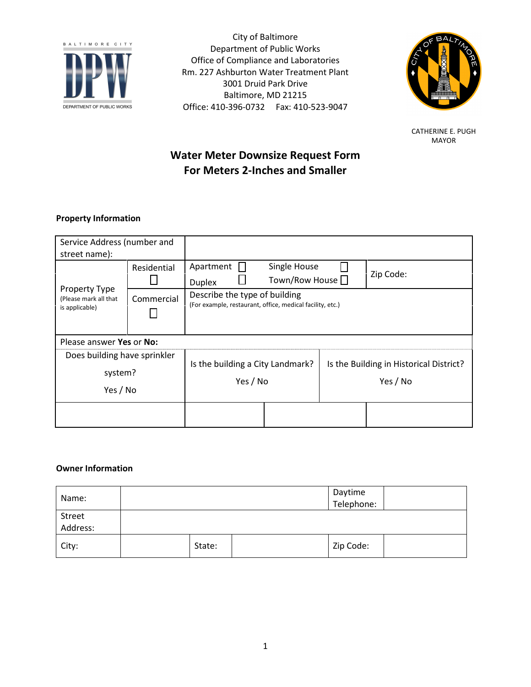

City of Baltimore Department of Public Works Office of Compliance and Laboratories Rm. 227 Ashburton Water Treatment Plant 3001 Druid Park Drive Baltimore, MD 21215 Office: 410-396-0732 Fax: 410-523-9047



CATHERINE E. PUGH MAYOR

# Water Meter Downsize Request Form For Meters 2-Inches and Smaller

## Property Information

| Service Address (number and<br>street name):                    |             |                                                                                            |                                  |                                                     |           |  |  |
|-----------------------------------------------------------------|-------------|--------------------------------------------------------------------------------------------|----------------------------------|-----------------------------------------------------|-----------|--|--|
| <b>Property Type</b><br>(Please mark all that<br>is applicable) | Residential | Apartment<br><b>Duplex</b>                                                                 | Single House<br>Town/Row House □ |                                                     | Zip Code: |  |  |
|                                                                 | Commercial  | Describe the type of building<br>(For example, restaurant, office, medical facility, etc.) |                                  |                                                     |           |  |  |
| Please answer Yes or No:                                        |             |                                                                                            |                                  |                                                     |           |  |  |
| Does building have sprinkler<br>system?<br>Yes / No             |             | Is the building a City Landmark?<br>Yes / No                                               |                                  | Is the Building in Historical District?<br>Yes / No |           |  |  |
|                                                                 |             |                                                                                            |                                  |                                                     |           |  |  |

# Owner Information

| Name:              |        | Daytime<br>Telephone: |  |
|--------------------|--------|-----------------------|--|
| Street<br>Address: |        |                       |  |
| City:              | State: | Zip Code:             |  |